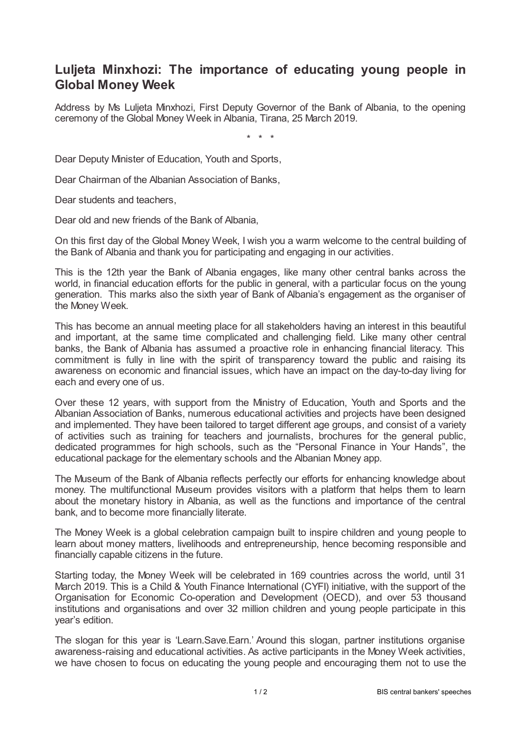## **Luljeta Minxhozi: The importance of educating young people in Global Money Week**

Address by Ms Luljeta Minxhozi, First Deputy Governor of the Bank of Albania, to the opening ceremony of the Global Money Week in Albania, Tirana, 25 March 2019.

\* \* \*

Dear Deputy Minister of Education, Youth and Sports,

Dear Chairman of the Albanian Association of Banks,

Dear students and teachers,

Dear old and new friends of the Bank of Albania,

On this first day of the Global Money Week, I wish you a warm welcome to the central building of the Bank of Albania and thank you for participating and engaging in our activities.

This is the 12th year the Bank of Albania engages, like many other central banks across the world, in financial education efforts for the public in general, with a particular focus on the young generation. This marks also the sixth year of Bank of Albania's engagement as the organiser of the Money Week.

This has become an annual meeting place for all stakeholders having an interest in this beautiful and important, at the same time complicated and challenging field. Like many other central banks, the Bank of Albania has assumed a proactive role in enhancing financial literacy. This commitment is fully in line with the spirit of transparency toward the public and raising its awareness on economic and financial issues, which have an impact on the day-to-day living for each and every one of us.

Over these 12 years, with support from the Ministry of Education, Youth and Sports and the Albanian Association of Banks, numerous educational activities and projects have been designed and implemented. They have been tailored to target different age groups, and consist of a variety of activities such as training for teachers and journalists, brochures for the general public, dedicated programmes for high schools, such as the "Personal Finance in Your Hands", the educational package for the elementary schools and the Albanian Money app.

The Museum of the Bank of Albania reflects perfectly our efforts for enhancing knowledge about money. The multifunctional Museum provides visitors with a platform that helps them to learn about the monetary history in Albania, as well as the functions and importance of the central bank, and to become more financially literate.

The Money Week is a global celebration campaign built to inspire children and young people to learn about money matters, livelihoods and entrepreneurship, hence becoming responsible and financially capable citizens in the future.

Starting today, the Money Week will be celebrated in 169 countries across the world, until 31 March 2019. This is a Child & Youth Finance International (CYFI) initiative, with the support of the Organisation for Economic Co-operation and Development (OECD), and over 53 thousand institutions and organisations and over 32 million children and young people participate in this year's edition.

The slogan for this year is 'Learn.Save.Earn.' Around this slogan, partner institutions organise awareness-raising and educational activities. As active participants in the Money Week activities, we have chosen to focus on educating the young people and encouraging them not to use the